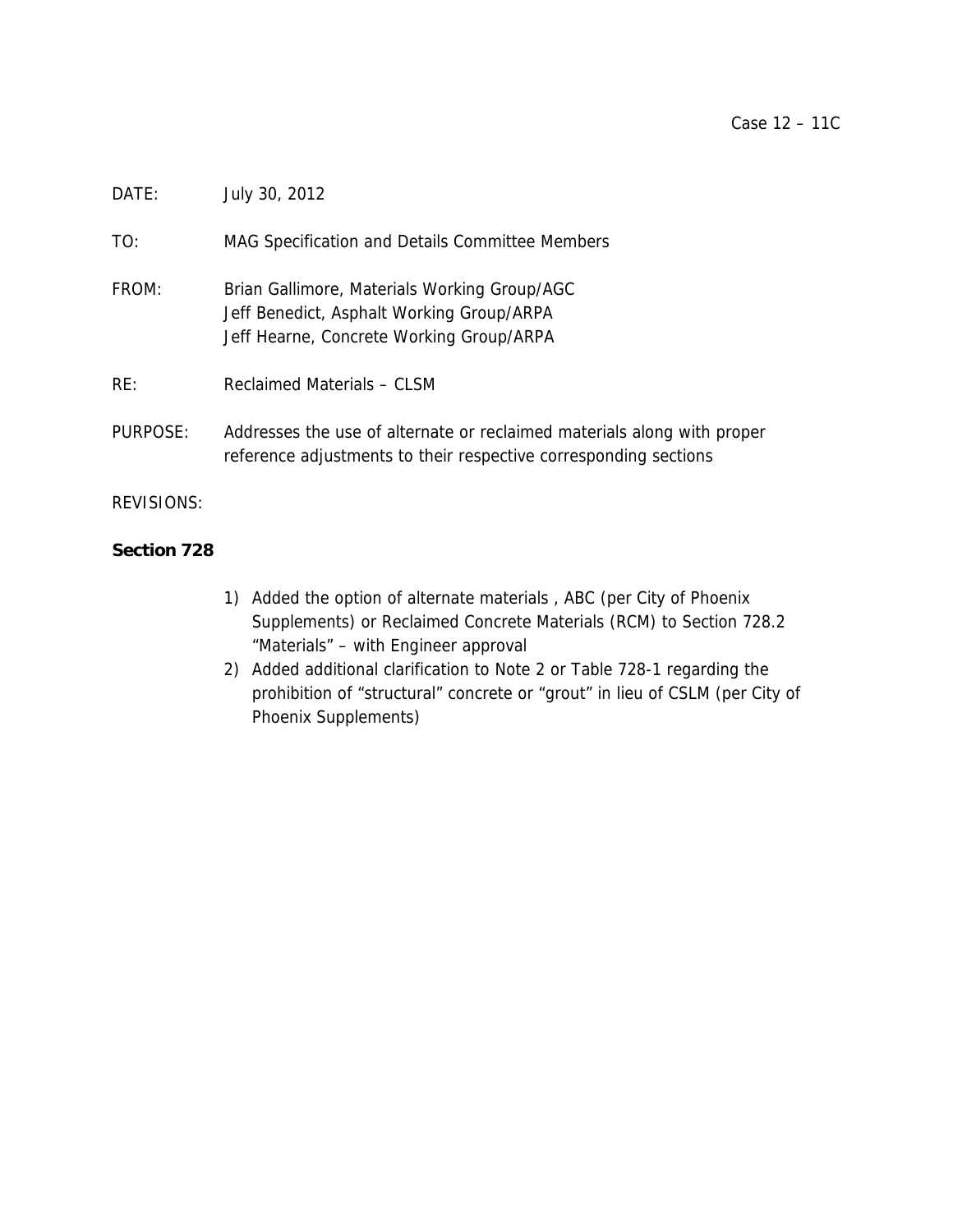# DATE: July 30, 2012

TO: MAG Specification and Details Committee Members

FROM: Brian Gallimore, Materials Working Group/AGC Jeff Benedict, Asphalt Working Group/ARPA Jeff Hearne, Concrete Working Group/ARPA

RE: Reclaimed Materials – CLSM

PURPOSE: Addresses the use of alternate or reclaimed materials along with proper reference adjustments to their respective corresponding sections

REVISIONS:

# **Section 728**

- 1) Added the option of alternate materials , ABC (per City of Phoenix Supplements) or Reclaimed Concrete Materials (RCM) to Section 728.2 "Materials" – with Engineer approval
- 2) Added additional clarification to Note 2 or Table 728-1 regarding the prohibition of "structural" concrete or "grout" in lieu of CSLM (per City of Phoenix Supplements)